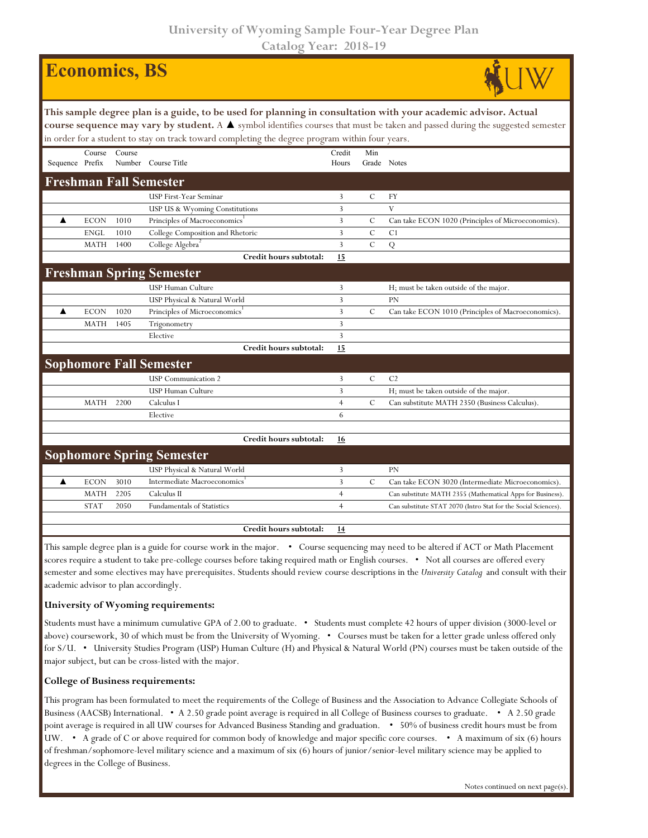**University of Wyoming Sample Four-Year Degree Plan Catalog Year: 2018-19**

## **Economics, BS**



| This sample degree plan is a guide, to be used for planning in consultation with your academic advisor. Actual<br>course sequence may vary by student. A ▲ symbol identifies courses that must be taken and passed during the suggested semester<br>in order for a student to stay on track toward completing the degree program within four years. |             |        |                                           |                 |                    |                                                                |  |  |  |  |
|-----------------------------------------------------------------------------------------------------------------------------------------------------------------------------------------------------------------------------------------------------------------------------------------------------------------------------------------------------|-------------|--------|-------------------------------------------|-----------------|--------------------|----------------------------------------------------------------|--|--|--|--|
| Sequence Prefix                                                                                                                                                                                                                                                                                                                                     | Course      | Course | Number Course Title                       | Credit<br>Hours | Min<br>Grade Notes |                                                                |  |  |  |  |
|                                                                                                                                                                                                                                                                                                                                                     |             |        | <b>Freshman Fall Semester</b>             |                 |                    |                                                                |  |  |  |  |
|                                                                                                                                                                                                                                                                                                                                                     |             |        | <b>USP First-Year Seminar</b>             | 3               | $\mathcal{C}$      | <b>FY</b>                                                      |  |  |  |  |
|                                                                                                                                                                                                                                                                                                                                                     |             |        | USP US & Wyoming Constitutions            | 3               |                    | V                                                              |  |  |  |  |
| ▲                                                                                                                                                                                                                                                                                                                                                   | <b>ECON</b> | 1010   | Principles of Macroeconomics <sup>1</sup> | 3               | $\mathcal{C}$      | Can take ECON 1020 (Principles of Microeconomics).             |  |  |  |  |
|                                                                                                                                                                                                                                                                                                                                                     | <b>ENGL</b> | 1010   | College Composition and Rhetoric          | 3               | $\mathcal{C}$      | C <sub>1</sub>                                                 |  |  |  |  |
|                                                                                                                                                                                                                                                                                                                                                     | <b>MATH</b> | 1400   | College Algebra <sup>2</sup>              | 3               | $\mathcal{C}$      | Q                                                              |  |  |  |  |
|                                                                                                                                                                                                                                                                                                                                                     |             |        | Credit hours subtotal:                    | 15              |                    |                                                                |  |  |  |  |
|                                                                                                                                                                                                                                                                                                                                                     |             |        | <b>Freshman Spring Semester</b>           |                 |                    |                                                                |  |  |  |  |
|                                                                                                                                                                                                                                                                                                                                                     |             |        | <b>USP Human Culture</b>                  | 3               |                    | H; must be taken outside of the major.                         |  |  |  |  |
|                                                                                                                                                                                                                                                                                                                                                     |             |        | USP Physical & Natural World              | 3               |                    | <b>PN</b>                                                      |  |  |  |  |
| ▲                                                                                                                                                                                                                                                                                                                                                   | <b>ECON</b> | 1020   | Principles of Microeconomics <sup>1</sup> | 3               | $\mathbf C$        | Can take ECON 1010 (Principles of Macroeconomics).             |  |  |  |  |
|                                                                                                                                                                                                                                                                                                                                                     | <b>MATH</b> | 1405   | Trigonometry                              | 3               |                    |                                                                |  |  |  |  |
|                                                                                                                                                                                                                                                                                                                                                     |             |        | Elective                                  | 3               |                    |                                                                |  |  |  |  |
|                                                                                                                                                                                                                                                                                                                                                     |             |        | Credit hours subtotal:                    | 15              |                    |                                                                |  |  |  |  |
| <b>Sophomore Fall Semester</b>                                                                                                                                                                                                                                                                                                                      |             |        |                                           |                 |                    |                                                                |  |  |  |  |
|                                                                                                                                                                                                                                                                                                                                                     |             |        | <b>USP</b> Communication 2                | 3               | $\mathcal{C}$      | C <sub>2</sub>                                                 |  |  |  |  |
|                                                                                                                                                                                                                                                                                                                                                     |             |        | <b>USP Human Culture</b>                  | $\overline{3}$  |                    | H; must be taken outside of the major.                         |  |  |  |  |
|                                                                                                                                                                                                                                                                                                                                                     | <b>MATH</b> | 2200   | Calculus I                                | $\overline{4}$  | $\mathcal{C}$      | Can substitute MATH 2350 (Business Calculus).                  |  |  |  |  |
|                                                                                                                                                                                                                                                                                                                                                     |             |        | Elective                                  | 6               |                    |                                                                |  |  |  |  |
|                                                                                                                                                                                                                                                                                                                                                     |             |        |                                           |                 |                    |                                                                |  |  |  |  |
|                                                                                                                                                                                                                                                                                                                                                     |             |        | Credit hours subtotal:                    | 16              |                    |                                                                |  |  |  |  |
| <b>Sophomore Spring Semester</b>                                                                                                                                                                                                                                                                                                                    |             |        |                                           |                 |                    |                                                                |  |  |  |  |
|                                                                                                                                                                                                                                                                                                                                                     |             |        | USP Physical & Natural World              | 3               |                    | <b>PN</b>                                                      |  |  |  |  |
| ▲                                                                                                                                                                                                                                                                                                                                                   | <b>ECON</b> | 3010   | Intermediate Macroeconomics               | 3               | C                  | Can take ECON 3020 (Intermediate Microeconomics).              |  |  |  |  |
|                                                                                                                                                                                                                                                                                                                                                     | <b>MATH</b> | 2205   | Calculus II                               | $\overline{4}$  |                    | Can substitute MATH 2355 (Mathematical Apps for Business).     |  |  |  |  |
|                                                                                                                                                                                                                                                                                                                                                     | <b>STAT</b> | 2050   | <b>Fundamentals of Statistics</b>         | $\overline{4}$  |                    | Can substitute STAT 2070 (Intro Stat for the Social Sciences). |  |  |  |  |
|                                                                                                                                                                                                                                                                                                                                                     |             |        |                                           |                 |                    |                                                                |  |  |  |  |
|                                                                                                                                                                                                                                                                                                                                                     |             |        | Credit hours subtotal:                    | 14              |                    |                                                                |  |  |  |  |

This sample degree plan is a guide for course work in the major. • Course sequencing may need to be altered if ACT or Math Placement scores require a student to take pre-college courses before taking required math or English courses. • Not all courses are offered every semester and some electives may have prerequisites. Students should review course descriptions in the *University Catalog* and consult with their academic advisor to plan accordingly.

## **University of Wyoming requirements:**

Students must have a minimum cumulative GPA of 2.00 to graduate. • Students must complete 42 hours of upper division (3000-level or above) coursework, 30 of which must be from the University of Wyoming. • Courses must be taken for a letter grade unless offered only for S/U. • University Studies Program (USP) Human Culture (H) and Physical & Natural World (PN) courses must be taken outside of the major subject, but can be cross-listed with the major.

## **College of Business requirements:**

This program has been formulated to meet the requirements of the College of Business and the Association to Advance Collegiate Schools of Business (AACSB) International. • A 2.50 grade point average is required in all College of Business courses to graduate. • A 2.50 grade point average is required in all UW courses for Advanced Business Standing and graduation. • 50% of business credit hours must be from UW. • A grade of C or above required for common body of knowledge and major specific core courses. • A maximum of six (6) hours of freshman/sophomore-level military science and a maximum of six (6) hours of junior/senior-level military science may be applied to degrees in the College of Business.